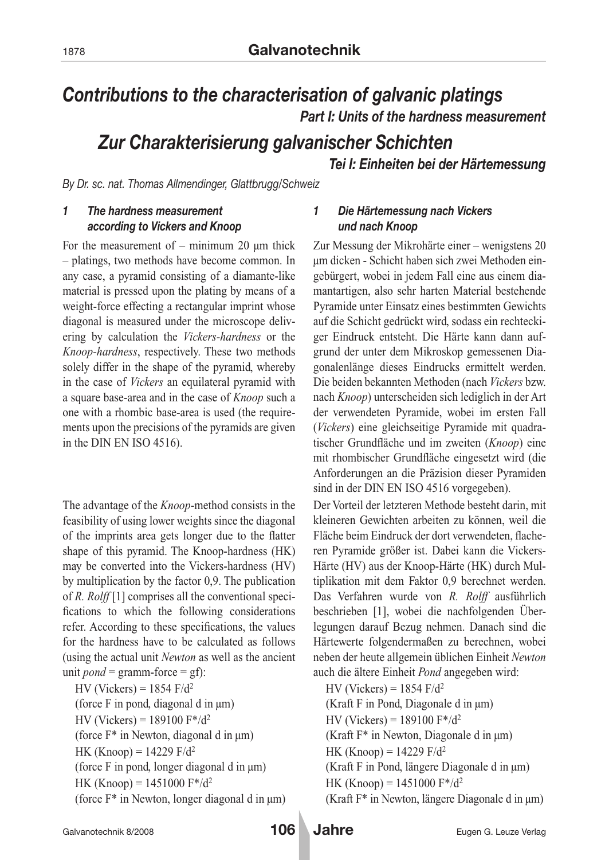# *Contributions to the characterisation of galvanic platings Part I: Units of the hardness measurement*

# *Zur Charakterisierung galvanischer Schichten*

*Tei I: Einheiten bei der Härtemessung*

*By Dr. sc. nat. Thomas Allmendinger, Glattbrugg/Schweiz*

## *1 The hardness measurement according to Vickers and Knoop*

For the measurement of – minimum 20  $\mu$ m thick – platings, two methods have become common. In any case, a pyramid consisting of a diamante-like material is pressed upon the plating by means of a weight-force effecting a rectangular imprint whose diagonal is measured under the microscope delivering by calculation the *Vickers-hardness* or the *Knoop-hardness*, respectively. These two methods solely differ in the shape of the pyramid, whereby in the case of *Vickers* an equilateral pyramid with a square base-area and in the case of *Knoop* such a one with a rhombic base-area is used (the requirements upon the precisions of the pyramids are given in the DIN EN ISO 4516).

The advantage of the *Knoop*-method consists in the feasibility of using lower weights since the diagonal of the imprints area gets longer due to the flatter shape of this pyramid. The Knoop-hardness (HK) may be converted into the Vickers-hardness (HV) by multiplication by the factor 0,9. The publication of *R. Rolff* [1] comprises all the conventional specifications to which the following considerations refer. According to these specifications, the values for the hardness have to be calculated as follows (using the actual unit *Newton* as well as the ancient unit *pond* = gramm-force =  $gf$ :

HV (Vickers) =  $1854$  F/d<sup>2</sup> (force F in pond, diagonal d in µm) HV (Vickers) = 189100  $F^*/d^2$ (force F\* in Newton, diagonal d in µm) HK (Knoop) =  $14229$  F/d<sup>2</sup> (force F in pond, longer diagonal d in µm) HK (Knoop) = 1451000  $F^*/d^2$ (force F\* in Newton, longer diagonal d in µm)

## *1 Die Härtemessung nach Vickers und nach Knoop*

Zur Messung der Mikrohärte einer – wenigstens 20 μm dicken - Schicht haben sich zwei Methoden eingebürgert, wobei in jedem Fall eine aus einem diamantartigen, also sehr harten Material bestehende Pyramide unter Einsatz eines bestimmten Gewichts auf die Schicht gedrückt wird, sodass ein rechteckiger Eindruck entsteht. Die Härte kann dann aufgrund der unter dem Mikroskop gemessenen Diagonalenlänge dieses Eindrucks ermittelt werden. Die beiden bekannten Methoden (nach *Vickers* bzw. nach *Knoop*) unterscheiden sich lediglich in der Art der verwendeten Pyramide, wobei im ersten Fall (*Vickers*) eine gleichseitige Pyramide mit quadratischer Grundfläche und im zweiten (*Knoop*) eine mit rhombischer Grundfläche eingesetzt wird (die Anforderungen an die Präzision dieser Pyramiden sind in der DIN EN ISO 4516 vorgegeben).

Der Vorteil der letzteren Methode besteht darin, mit kleineren Gewichten arbeiten zu können, weil die Fläche beim Eindruck der dort verwendeten, flacheren Pyramide größer ist. Dabei kann die Vickers-Härte (HV) aus der Knoop-Härte (HK) durch Multiplikation mit dem Faktor 0,9 berechnet werden. Das Verfahren wurde von *R. Rolff* ausführlich beschrieben [1], wobei die nachfolgenden Überlegungen darauf Bezug nehmen. Danach sind die Härtewerte folgendermaßen zu berechnen, wobei neben der heute allgemein üblichen Einheit *Newton* auch die ältere Einheit *Pond* angegeben wird:

HV (Vickers) =  $1854$  F/d<sup>2</sup> (Kraft F in Pond, Diagonale d in µm) HV (Vickers) = 189100  $F^*/d^2$ (Kraft F\* in Newton, Diagonale d in µm) HK (Knoop) =  $14229$  F/d<sup>2</sup> (Kraft F in Pond, längere Diagonale d in µm) HK (Knoop) = 1451000  $F^*/d^2$ (Kraft F\* in Newton, längere Diagonale d in µm)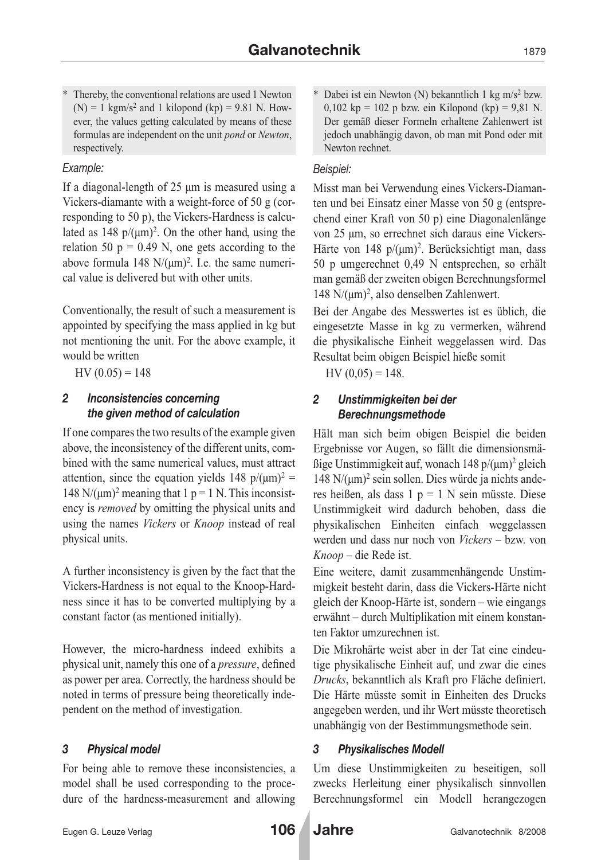Thereby, the conventional relations are used 1 Newton  $(N) = 1$  kgm/s<sup>2</sup> and 1 kilopond (kp) = 9.81 N. However, the values getting calculated by means of these formulas are independent on the unit *pond* or *Newton*, respectively.

## *Example:*

If a diagonal-length of 25 µm is measured using a Vickers-diamante with a weight-force of 50 g (corresponding to 50 p), the Vickers-Hardness is calculated as  $148 \text{ p}/(\mu\text{m})^2$ . On the other hand, using the relation 50  $p = 0.49$  N, one gets according to the above formula 148  $N/(um)^2$ . I.e. the same numerical value is delivered but with other units.

Conventionally, the result of such a measurement is appointed by specifying the mass applied in kg but not mentioning the unit. For the above example, it would be written

 $HV(0.05) = 148$ 

## *2 Inconsistencies concerning the given method of calculation*

If one compares the two results of the example given above, the inconsistency of the different units, combined with the same numerical values, must attract attention, since the equation yields 148  $p/(\mu m)^2$  = 148 N/( $\mu$ m)<sup>2</sup> meaning that 1 p = 1 N. This inconsistency is *removed* by omitting the physical units and using the names *Vickers* or *Knoop* instead of real physical units.

A further inconsistency is given by the fact that the Vickers-Hardness is not equal to the Knoop-Hardness since it has to be converted multiplying by a constant factor (as mentioned initially).

However, the micro-hardness indeed exhibits a physical unit, namely this one of a *pressure*, defined as power per area. Correctly, the hardness should be noted in terms of pressure being theoretically independent on the method of investigation.

## *3 Physical model*

For being able to remove these inconsistencies, a model shall be used corresponding to the procedure of the hardness-measurement and allowing \* Dabei ist ein Newton (N) bekanntlich 1 kg m/s2 bzw. 0,102 kp = 102 p bzw. ein Kilopond (kp) = 9,81 N. Der gemäß dieser Formeln erhaltene Zahlenwert ist jedoch unabhängig davon, ob man mit Pond oder mit Newton rechnet.

## *Beispiel:*

Misst man bei Verwendung eines Vickers-Diamanten und bei Einsatz einer Masse von 50 g (entsprechend einer Kraft von 50 p) eine Diagonalenlänge von 25 µm, so errechnet sich daraus eine Vickers-Härte von 148  $p/(µm)^2$ . Berücksichtigt man, dass 50 p umgerechnet 0,49 N entsprechen, so erhält man gemäß der zweiten obigen Berechnungsformel 148 N/ $(\mu m)^2$ , also denselben Zahlenwert.

Bei der Angabe des Messwertes ist es üblich, die eingesetzte Masse in kg zu vermerken, während die physikalische Einheit weggelassen wird. Das Resultat beim obigen Beispiel hieße somit

 $HV(0,05) = 148.$ 

## *2 Unstimmigkeiten bei der Berechnungsmethode*

Hält man sich beim obigen Beispiel die beiden Ergebnisse vor Augen, so fällt die dimensionsmä- $\beta$ ige Unstimmigkeit auf, wonach 148 p/( $\mu$ m)<sup>2</sup> gleich 148  $N/(µm)^2$  sein sollen. Dies würde ja nichts anderes heißen, als dass 1  $p = 1$  N sein müsste. Diese Unstimmigkeit wird dadurch behoben, dass die physikalischen Einheiten einfach weggelassen werden und dass nur noch von *Vickers* – bzw. von *Knoop* – die Rede ist.

Eine weitere, damit zusammenhängende Unstimmigkeit besteht darin, dass die Vickers-Härte nicht gleich der Knoop-Härte ist, sondern – wie eingangs erwähnt – durch Multiplikation mit einem konstanten Faktor umzurechnen ist.

Die Mikrohärte weist aber in der Tat eine eindeutige physikalische Einheit auf, und zwar die eines *Drucks*, bekanntlich als Kraft pro Fläche definiert. Die Härte müsste somit in Einheiten des Drucks angegeben werden, und ihr Wert müsste theoretisch unabhängig von der Bestimmungsmethode sein.

## *3 Physikalisches Modell*

Um diese Unstimmigkeiten zu beseitigen, soll zwecks Herleitung einer physikalisch sinnvollen Berechnungsformel ein Modell herangezogen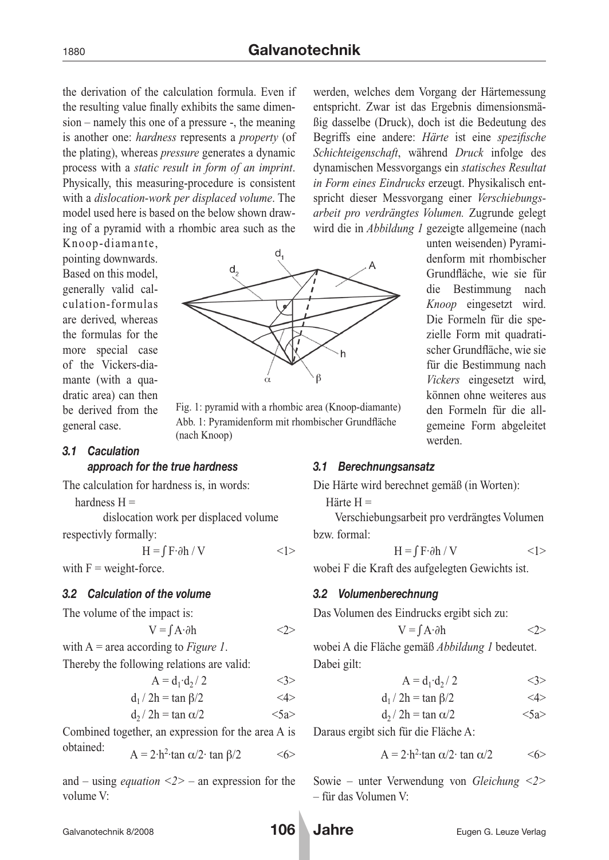the derivation of the calculation formula. Even if the resulting value finally exhibits the same dimension – namely this one of a pressure -, the meaning is another one: *hardness* represents a *property* (of the plating), whereas *pressure* generates a dynamic process with a *static result in form of an imprint*. Physically, this measuring-procedure is consistent with a *dislocation-work per displaced volume*. The model used here is based on the below shown drawing of a pyramid with a rhombic area such as the

Knoop-diamante, pointing downwards. Based on this model, generally valid calculation-formulas are derived, whereas the formulas for the more special case of the Vickers-diamante (with a quadratic area) can then be derived from the general case.

#### *3.1 Caculation approach for the true hardness*

The calculation for hardness is, in words:

hardness  $H =$ 

dislocation work per displaced volume respectivly formally:

 $H = \int F \cdot \partial h / V$  <1> with  $F$  = weight-force.

*3.2 Calculation of the volume*

The volume of the impact is:

$$
V = \int A \cdot \partial h
$$
  
with A = area according to Figure 1.

Thereby the following relations are valid:

$$
A=d_1{\cdot}d_2/\,2\qquad \qquad <3>
$$

$$
d_1 / 2h = \tan \beta / 2 \qquad \qquad \text{<4>}
$$

$$
d_2 / 2h = \tan \alpha / 2 \qquad \qquad <5a>
$$

Combined together, an expression for the area A is

obtained:  $A = 2 \cdot h^2 \cdot \tan \alpha/2 \cdot \tan \beta/2$  <6>

and – using *equation <2>* – an expression for the volume V:

werden, welches dem Vorgang der Härtemessung entspricht. Zwar ist das Ergebnis dimensionsmäßig dasselbe (Druck), doch ist die Bedeutung des Begriffs eine andere: *Härte* ist eine *spezifische Schichteigenschaft*, während *Druck* infolge des dynamischen Messvorgangs ein *statisches Resultat in Form eines Eindrucks* erzeugt. Physikalisch entspricht dieser Messvorgang einer *Verschiebungsarbeit pro verdrängtes Volumen.* Zugrunde gelegt wird die in *Abbildung 1* gezeigte allgemeine (nach

> unten weisenden) Pyramidenform mit rhombischer Grundfläche, wie sie für die Bestimmung nach *Knoop* eingesetzt wird. Die Formeln für die spezielle Form mit quadratischer Grundfläche, wie sie für die Bestimmung nach *Vickers* eingesetzt wird, können ohne weiteres aus den Formeln für die allgemeine Form abgeleitet



Fig. 1: pyramid with a rhombic area (Knoop-diamante) Abb. 1: Pyramidenform mit rhombischer Grundfläche (nach Knoop)

### *3.1 Berechnungsansatz*

Die Härte wird berechnet gemäß (in Worten):

Härte H =

Verschiebungsarbeit pro verdrängtes Volumen bzw. formal:

werden.

$$
H = \int F \cdot \partial h / V
$$
  $\langle 1 \rangle$ 

wobei F die Kraft des aufgelegten Gewichts ist.

### *3.2 Volumenberechnung*

Das Volumen des Eindrucks ergibt sich zu:

$$
V = \int A \cdot \partial h \qquad \qquad <2>
$$

wobei A die Fläche gemäß *Abbildung 1* bedeutet. Dabei gilt:

$$
A = d_1 \cdot d_2 / 2 \qquad \qquad \langle 3 \rangle
$$

$$
d_1 / 2h = \tan \beta / 2 \qquad \qquad \text{<4>}
$$

$$
d_2 / 2h = \tan \alpha / 2 \qquad \qquad <5a>
$$

Daraus ergibt sich für die Fläche A:

$$
A = 2 \cdot h^2 \cdot \tan \alpha / 2 \quad \text{(6)}
$$

Sowie – unter Verwendung von *Gleichung <2>* – für das Volumen V:

Galvanotechnik 8/2008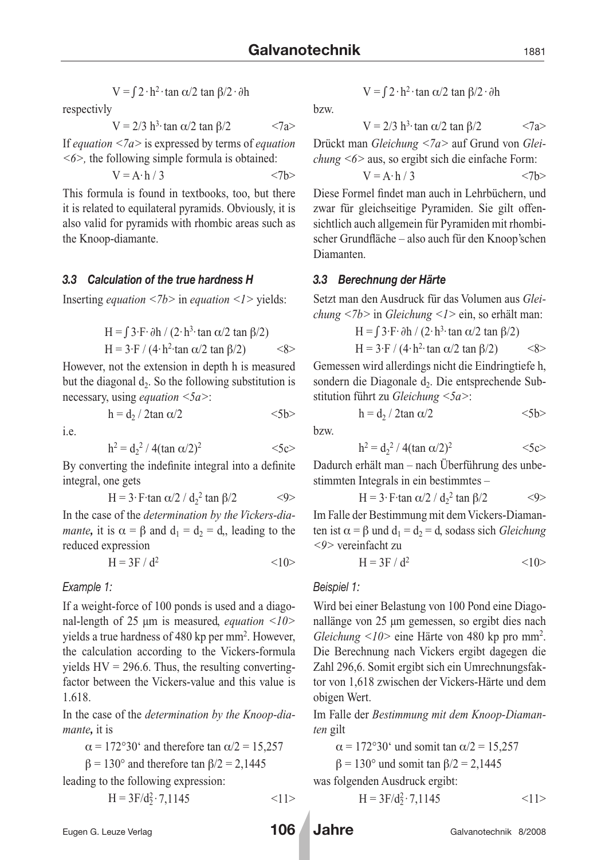$$
V = \int 2 \cdot h^2 \cdot \tan \alpha / 2 \tan \beta / 2 \cdot \partial h
$$

respectivly

 $V = 2/3$  h<sup>3</sup>·tan  $\alpha/2$  tan  $\beta/2$  <7a>

If *equation <7a>* is expressed by terms of *equation <6>,* the following simple formula is obtained:

$$
V = A \cdot h / 3
$$
  $\langle 7b \rangle$ 

This formula is found in textbooks, too, but there it is related to equilateral pyramids. Obviously, it is also valid for pyramids with rhombic areas such as the Knoop-diamante.

### *3.3 Calculation of the true hardness H*

Inserting *equation <7b>* in *equation <1>* yields:

H = 
$$
\int 3 \cdot F \cdot \partial h / (2 \cdot h^3 \cdot \tan \alpha / 2 \tan \beta / 2)
$$
  
H =  $3 \cdot F / (4 \cdot h^2 \cdot \tan \alpha / 2 \tan \beta / 2)$   $\langle 8 \rangle$ 

However, not the extension in depth h is measured but the diagonal  $d_2$ . So the following substitution is necessary, using *equation <5a>*:

 $h = d_2 / 2 \tan \alpha / 2$  <5b>

i.e.

$$
h^2 = d_2{}^2 / 4(\tan \alpha/2)^2
$$
  $\langle 5c \rangle$ 

By converting the indefinite integral into a definite integral, one gets

$$
H = 3 \cdot F \cdot \tan \alpha/2 / d_2^2 \tan \beta/2 \qquad \qquad <9>
$$

In the case of the *determination by the Vickers-diamante*, it is  $\alpha = \beta$  and  $d_1 = d_2 = d$ , leading to the reduced expression

$$
H = 3F / d^2
$$
  $\langle 10 \rangle$ 

### *Example 1:*

If a weight-force of 100 ponds is used and a diagonal-length of 25  $\mu$ m is measured, *equation* <10> yields a true hardness of 480 kp per mm2 . However, the calculation according to the Vickers-formula yields  $HV = 296.6$ . Thus, the resulting convertingfactor between the Vickers-value and this value is 1.618.

In the case of the *determination by the Knoop-diamante,* it is

 $\alpha$  = 172°30′ and therefore tan  $\alpha/2$  = 15,257

 $\beta$  = 130° and therefore tan  $\beta$ /2 = 2,1445 leading to the following expression:

$$
H = 3F/d_2^2 \cdot 7,1145
$$
  $\langle 1 \rangle$ 

$$
V = \int 2 \cdot h^2 \cdot \tan \alpha / 2 \tan \beta / 2 \cdot \partial h
$$

bzw.

$$
V = 2/3 h3 tan \alpha/2 tan \beta/2
$$
  $\langle 7a \rangle$ 

Drückt man *Gleichung <7a>* auf Grund von *Gleichung <6>* aus, so ergibt sich die einfache Form:

$$
V = A \cdot h / 3 \qquad \qquad \langle 7b \rangle
$$

Diese Formel findet man auch in Lehrbüchern, und zwar für gleichseitige Pyramiden. Sie gilt offensichtlich auch allgemein für Pyramiden mit rhombischer Grundfläche – also auch für den Knoop'schen Diamanten.

### *3.3 Berechnung der Härte*

Setzt man den Ausdruck für das Volumen aus *Gleichung <7b>* in *Gleichung <1>* ein, so erhält man:

$$
H = \int 3 \cdot F \cdot \partial h / (2 \cdot h^3 \cdot \tan \alpha / 2 \tan \beta / 2)
$$
  
H = 3 F / (4 h^3 \tan \alpha / 2 \tan \beta / 2)

$$
H = 3 \cdot F / (4 \cdot h^2 \cdot \tan \alpha / 2 \tan \beta / 2) \qquad \text{<8>}
$$

Gemessen wird allerdings nicht die Eindringtiefe h, sondern die Diagonale  $d_2$ . Die entsprechende Substitution führt zu *Gleichung <5a>*:

$$
h=d_2 \mathbin{/} 2 \tan \alpha/2 \qquad \qquad <5b>
$$

bzw.

$$
h^2 = d_2{}^2 / 4(\tan \alpha / 2)^2
$$
  $<5c>$ 

Dadurch erhält man – nach Überführung des unbestimmten Integrals in ein bestimmtes –

$$
H = 3 \cdot F \cdot \tan \alpha/2 / d_2^2 \tan \beta/2 \qquad \qquad <9>
$$

Im Falle der Bestimmung mit dem Vickers-Diamanten ist  $\alpha = \beta$  und  $d_1 = d_2 = d$ , sodass sich *Gleichung <9>* vereinfacht zu

$$
H = 3F / d^2
$$
  $\langle 10 \rangle$ 

### *Beispiel 1:*

Wird bei einer Belastung von 100 Pond eine Diagonallänge von 25 µm gemessen, so ergibt dies nach *Gleichung <10>* eine Härte von 480 kp pro mm2. Die Berechnung nach Vickers ergibt dagegen die Zahl 296,6. Somit ergibt sich ein Umrechnungsfaktor von 1,618 zwischen der Vickers-Härte und dem obigen Wert.

Im Falle der *Bestimmung mit dem Knoop-Diamanten* gilt

 $\alpha$  = 172°30' und somit tan  $\alpha/2$  = 15,257

$$
\beta = 130^{\circ}
$$
 und somit tan  $\beta/2 = 2,1445$ 

was folgenden Ausdruck ergibt:

$$
H = 3F/d_2^2 \cdot 7{,}1145
$$
  $\langle 1 \rangle$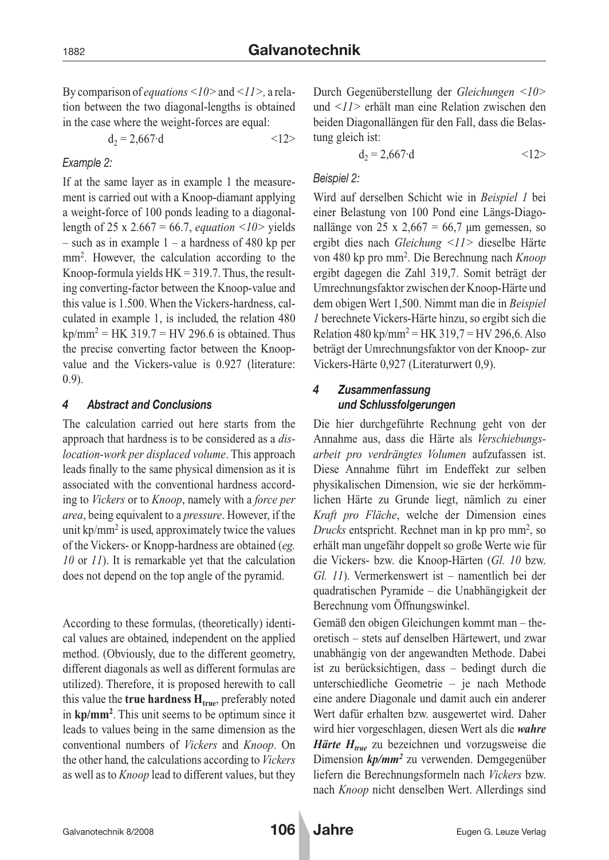By comparison of *equations <10>* and *<11>,* a relation between the two diagonal-lengths is obtained in the case where the weight-forces are equal:

$$
d_2 = 2{,}667 \cdot d \qquad \qquad <12>
$$

### *Example 2:*

If at the same layer as in example 1 the measurement is carried out with a Knoop-diamant applying a weight-force of 100 ponds leading to a diagonallength of 25 x 2.667 = 66.7, *equation <10>* yields – such as in example  $1 - a$  hardness of 480 kp per mm<sup>2</sup>. However, the calculation according to the Knoop-formula yields  $HK = 319.7$ . Thus, the resulting converting-factor between the Knoop-value and this value is 1.500. When the Vickers-hardness, calculated in example 1, is included, the relation 480  $kp/mm^2 = HK$  319.7 = HV 296.6 is obtained. Thus the precise converting factor between the Knoopvalue and the Vickers-value is 0.927 (literature: 0.9).

### *4 Abstract and Conclusions*

The calculation carried out here starts from the approach that hardness is to be considered as a *dislocation-work per displaced volume*. This approach leads finally to the same physical dimension as it is associated with the conventional hardness according to *Vickers* or to *Knoop*, namely with a *force per area*, being equivalent to a *pressure*. However, if the unit  $kp/mm^2$  is used, approximately twice the values of the Vickers- or Knopp-hardness are obtained (*eg. 10* or *11*). It is remarkable yet that the calculation does not depend on the top angle of the pyramid.

According to these formulas, (theoretically) identical values are obtained, independent on the applied method. (Obviously, due to the different geometry, different diagonals as well as different formulas are utilized). Therefore, it is proposed herewith to call this value the **true hardness**  $H_{true}$ , preferably noted in **kp/mm2**. This unit seems to be optimum since it leads to values being in the same dimension as the conventional numbers of *Vickers* and *Knoop*. On the other hand, the calculations according to *Vickers* as well as to *Knoop* lead to different values, but they

Durch Gegenüberstellung der *Gleichungen <10>* und *<11>* erhält man eine Relation zwischen den beiden Diagonallängen für den Fall, dass die Belastung gleich ist:

$$
d_2 = 2{,}667 \cdot d \qquad \qquad <12>
$$

## *Beispiel 2:*

Wird auf derselben Schicht wie in *Beispiel 1* bei einer Belastung von 100 Pond eine Längs-Diagonallänge von 25 x 2,667 = 66,7  $\mu$ m gemessen, so ergibt dies nach *Gleichung <11>* dieselbe Härte von 480 kp pro mm2. Die Berechnung nach *Knoop* ergibt dagegen die Zahl 319,7. Somit beträgt der Umrechnungsfaktor zwischen der Knoop-Härte und dem obigen Wert 1,500. Nimmt man die in *Beispiel 1* berechnete Vickers-Härte hinzu, so ergibt sich die Relation 480 kp/mm<sup>2</sup> = HK 319,7 = HV 296,6. Also beträgt der Umrechnungsfaktor von der Knoop- zur Vickers-Härte 0,927 (Literaturwert 0,9).

## *4 Zusammenfassung und Schlussfolgerungen*

Die hier durchgeführte Rechnung geht von der Annahme aus, dass die Härte als *Verschiebungsarbeit pro verdrängtes Volumen* aufzufassen ist. Diese Annahme führt im Endeffekt zur selben physikalischen Dimension, wie sie der herkömmlichen Härte zu Grunde liegt, nämlich zu einer *Kraft pro Fläche*, welche der Dimension eines *Drucks* entspricht. Rechnet man in kp pro mm<sup>2</sup>, so erhält man ungefähr doppelt so große Werte wie für die Vickers- bzw. die Knoop-Härten (*Gl. 10* bzw. *Gl. 11*). Vermerkenswert ist – namentlich bei der quadratischen Pyramide – die Unabhängigkeit der Berechnung vom Öffnungswinkel.

Gemäß den obigen Gleichungen kommt man – theoretisch – stets auf denselben Härtewert, und zwar unabhängig von der angewandten Methode. Dabei ist zu berücksichtigen, dass – bedingt durch die unterschiedliche Geometrie – je nach Methode eine andere Diagonale und damit auch ein anderer Wert dafür erhalten bzw. ausgewertet wird. Daher wird hier vorgeschlagen, diesen Wert als die *wahre Härte H<sub>true</sub>* zu bezeichnen und vorzugsweise die Dimension *kp/mm2* zu verwenden. Demgegenüber liefern die Berechnungsformeln nach *Vickers* bzw. nach *Knoop* nicht denselben Wert. Allerdings sind